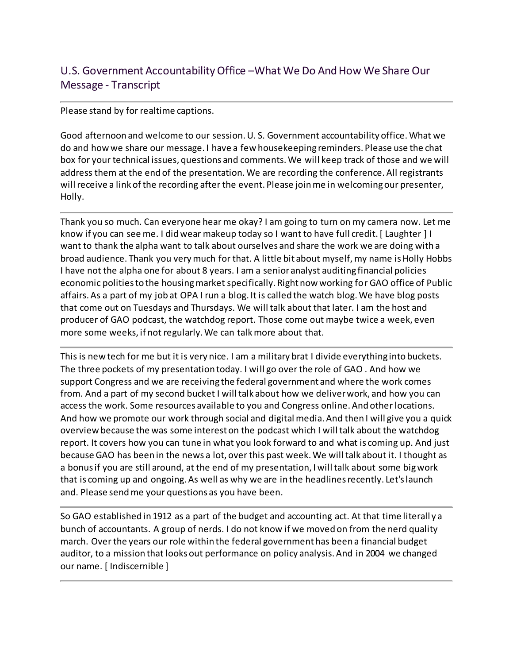## U.S. Government Accountability Office –What We Do And How We Share Our Message - Transcript

## Please stand by for realtime captions.

Good afternoon and welcome to our session. U. S. Government accountability office. What we do and how we share our message. I have a few housekeeping reminders. Please use the chat box for your technical issues, questions and comments. We will keep track of those and we will address them at the end of the presentation. We are recording the conference. All registrants will receive a link of the recording after the event. Please join me in welcoming our presenter, Holly.

Thank you so much. Can everyone hear me okay? I am going to turn on my camera now. Let me know if you can see me. I did wear makeup today so I want to have full credit. [ Laughter ] I want to thank the alpha want to talk about ourselves and share the work we are doing with a broad audience. Thank you very much for that. A little bit about myself, my name is Holly Hobbs I have not the alpha one for about 8 years. I am a senior analyst auditing financial policies economic polities to the housing market specifically. Right now working for GAO office of Public affairs. As a part of my job at OPA I run a blog. It is called the watch blog. We have blog posts that come out on Tuesdays and Thursdays. We will talk about that later. I am the host and producer of GAO podcast, the watchdog report. Those come out maybe twice a week, even more some weeks, if not regularly. We can talk more about that.

This is new tech for me but it is very nice. I am a military brat I divide everything into buckets. The three pockets of my presentation today. I will go over the role of GAO . And how we support Congress and we are receiving the federal government and where the work comes from. And a part of my second bucket I will talk about how we deliver work, and how you can access the work. Some resources available to you and Congress online. And other locations. And how we promote our work through social and digital media. And then I will give you a quick overview because the was some interest on the podcast which I will talk about the watchdog report. It covers how you can tune in what you look forward to and what is coming up. And just because GAO has been in the news a lot, over this past week. We will talk about it. I thought as a bonus if you are still around, at the end of my presentation, I will talk about some big work that is coming up and ongoing. As well as why we are in the headlines recently. Let's launch and. Please send me your questions as you have been.

So GAO established in 1912 as a part of the budget and accounting act. At that time literall y a bunch of accountants. A group of nerds. I do not know if we moved on from the nerd quality march. Over the years our role within the federal government has been a financial budget auditor, to a mission that looks out performance on policy analysis. And in 2004 we changed our name. [ Indiscernible ]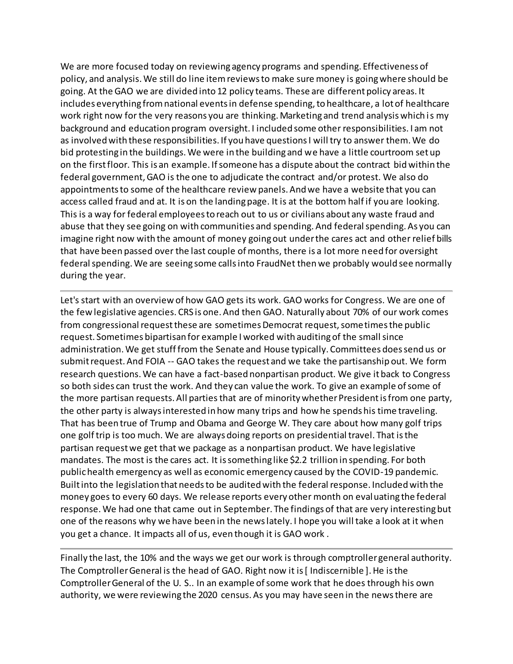We are more focused today on reviewing agency programs and spending. Effectiveness of policy, and analysis. We still do line item reviews to make sure money is going where should be going. At the GAO we are divided into 12 policy teams. These are different policy areas. It includes everything from national events in defense spending, to healthcare, a lot of healthcare work right now for the very reasons you are thinking. Marketing and trend analysis which is my background and education program oversight. I included some other responsibilities. I am not as involved with these responsibilities. If you have questions I will try to answer them. We do bid protesting in the buildings. We were in the building and we have a little courtroom set up on the first floor. This is an example. If someone has a dispute about the contract bid within the federal government, GAO is the one to adjudicate the contract and/or protest. We also do appointments to some of the healthcare review panels. And we have a website that you can access called fraud and at. It is on the landing page. It is at the bottom half if you are looking. This is a way for federal employees to reach out to us or civilians about any waste fraud and abuse that they see going on with communities and spending. And federal spending. As you can imagine right now with the amount of money going out under the cares act and other relief bills that have been passed over the last couple of months, there is a lot more need for oversight federal spending. We are seeing some calls into FraudNet then we probably would see normally during the year.

Let's start with an overview of how GAO gets its work. GAO works for Congress. We are one of the few legislative agencies. CRS is one. And then GAO. Naturally about 70% of our work comes from congressional request these are sometimes Democrat request, sometimes the public request. Sometimes bipartisan for example I worked with auditing of the small since administration. We get stuff from the Senate and House typically. Committees does send us or submit request. And FOIA -- GAO takes the request and we take the partisanship out. We form research questions. We can have a fact-based nonpartisan product. We give it back to Congress so both sides can trust the work. And they can value the work. To give an example of some of the more partisan requests. All parties that are of minority whether President is from one party, the other party is always interested in how many trips and how he spends his time traveling. That has been true of Trump and Obama and George W. They care about how many golf trips one golf trip is too much. We are always doing reports on presidential travel. That is the partisan request we get that we package as a nonpartisan product. We have legislative mandates. The most is the cares act. It is something like \$2.2 trillion in spending. For both public health emergency as well as economic emergency caused by the COVID-19 pandemic. Built into the legislation that needs to be audited with the federal response. Included with the money goes to every 60 days. We release reports every other month on evaluating the federal response. We had one that came out in September. The findings of that are very interesting but one of the reasons why we have been in the news lately. I hope you will take a look at it when you get a chance. It impacts all of us, even though it is GAO work .

Finally the last, the 10% and the ways we get our work is through comptroller general authority. The Comptroller General is the head of GAO. Right now it is [ Indiscernible ]. He is the Comptroller General of the U. S.. In an example of some work that he does through his own authority, we were reviewing the 2020 census. As you may have seen in the news there are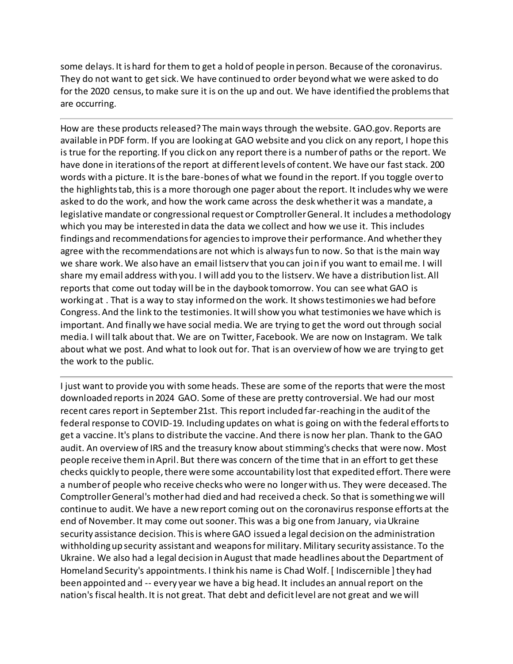some delays. It is hard for them to get a hold of people in person. Because of the coronavirus. They do not want to get sick. We have continued to order beyond what we were asked to do for the 2020 census, to make sure it is on the up and out. We have identified the problems that are occurring.

How are these products released? The main ways through the website. GAO.gov. Reports are available in PDF form. If you are looking at GAO website and you click on any report, I hope this is true for the reporting. If you click on any report there is a number of paths or the report. We have done in iterations of the report at different levels of content. We have our fast stack. 200 words with a picture. It is the bare-bones of what we found in the report. If you toggle over to the highlights tab, this is a more thorough one pager about the report. It includes why we were asked to do the work, and how the work came across the desk whether it was a mandate, a legislative mandate or congressional request or Comptroller General. It includes a methodology which you may be interested in data the data we collect and how we use it. This includes findings and recommendations for agencies to improve their performance. And whether they agree with the recommendations are not which is always fun to now. So that is the main way we share work. We also have an email listserv that you can join if you want to email me. I will share my email address with you. I will add you to the listserv. We have a distribution list. All reports that come out today will be in the daybook tomorrow. You can see what GAO is working at . That is a way to stay informed on the work. It shows testimonies we had before Congress. And the link to the testimonies. It will show you what testimonies we have which is important. And finally we have social media. We are trying to get the word out through social media. I will talk about that. We are on Twitter, Facebook. We are now on Instagram. We talk about what we post. And what to look out for. That is an overview of how we are trying to get the work to the public.

I just want to provide you with some heads. These are some of the reports that were the most downloaded reports in 2024 GAO. Some of these are pretty controversial. We had our most recent cares report in September 21st. This report included far-reaching in the audit of the federal response to COVID-19. Including updates on what is going on with the federal efforts to get a vaccine. It's plans to distribute the vaccine. And there is now her plan. Thank to the GAO audit. An overview of IRS and the treasury know about stimming's checks that were now. Most people receive them in April. But there was concern of the time that in an effort to get these checks quickly to people, there were some accountability lost that expedited effort. There were a number of people who receive checks who were no longer with us. They were deceased. The Comptroller General's mother had died and had received a check. So that is something we will continue to audit. We have a new report coming out on the coronavirus response efforts at the end of November. It may come out sooner. This was a big one from January, via Ukraine security assistance decision. This is where GAO issued a legal decision on the administration withholding up security assistant and weapons for military. Military security assistance. To the Ukraine. We also had a legal decision in August that made headlines about the Department of Homeland Security's appointments. I think his name is Chad Wolf. [ Indiscernible ] they had been appointed and -- every year we have a big head. It includes an annual report on the nation's fiscal health. It is not great. That debt and deficit level are not great and we will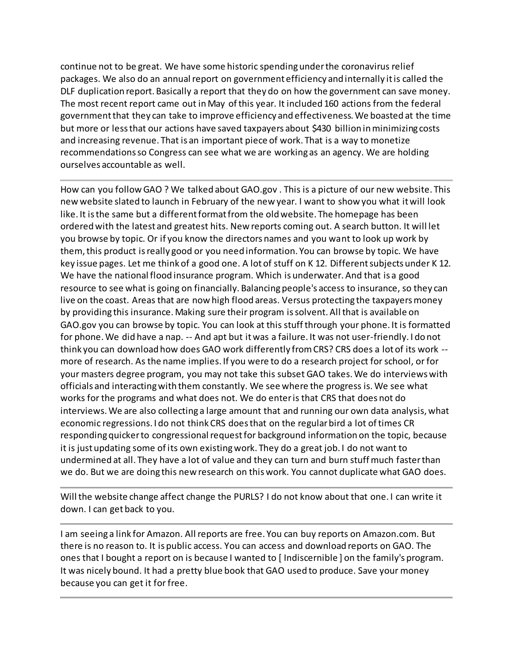continue not to be great. We have some historic spending under the coronavirus relief packages. We also do an annual report on government efficiency and internally it is called the DLF duplication report. Basically a report that they do on how the government can save money. The most recent report came out in May of this year. It included 160 actions from the federal government that they can take to improve efficiency and effectiveness. We boasted at the time but more or less that our actions have saved taxpayers about \$430 billion in minimizing costs and increasing revenue. That is an important piece of work. That is a way to monetize recommendations so Congress can see what we are working as an agency. We are holding ourselves accountable as well.

How can you follow GAO ? We talked about GAO.gov . This is a picture of our new website. This new website slated to launch in February of the new year. I want to show you what it will look like. It is the same but a different format from the old website. The homepage has been ordered with the latest and greatest hits. New reports coming out. A search button. It will let you browse by topic. Or if you know the directors names and you want to look up work by them, this product is really good or you need information. You can browse by topic. We have key issue pages. Let me think of a good one. A lot of stuff on K 12. Different subjects under K 12. We have the national flood insurance program. Which is underwater. And that is a good resource to see what is going on financially. Balancing people's access to insurance, so they can live on the coast. Areas that are now high flood areas. Versus protecting the taxpayers money by providing this insurance. Making sure their program is solvent. All that is available on GAO.gov you can browse by topic. You can look at this stuff through your phone. It is formatted for phone. We did have a nap. -- And apt but it was a failure. It was not user-friendly. I do not think you can download how does GAO work differently from CRS? CRS does a lot of its work - more of research. As the name implies. If you were to do a research project for school, or for your masters degree program, you may not take this subset GAO takes. We do interviews with officials and interacting with them constantly. We see where the progress is. We see what works for the programs and what does not. We do enter is that CRS that does not do interviews. We are also collecting a large amount that and running our own data analysis, what economic regressions. I do not think CRS does that on the regular bird a lot of times CR responding quicker to congressional request for background information on the topic, because it is just updating some of its own existing work. They do a great job. I do not want to undermined at all. They have a lot of value and they can turn and burn stuff much faster than we do. But we are doing this new research on this work. You cannot duplicate what GAO does.

Will the website change affect change the PURLS? I do not know about that one. I can write it down. I can get back to you.

I am seeing a link for Amazon. All reports are free. You can buy reports on Amazon.com. But there is no reason to. It is public access. You can access and download reports on GAO. The ones that I bought a report on is because I wanted to [ Indiscernible ] on the family's program. It was nicely bound. It had a pretty blue book that GAO used to produce. Save your money because you can get it for free.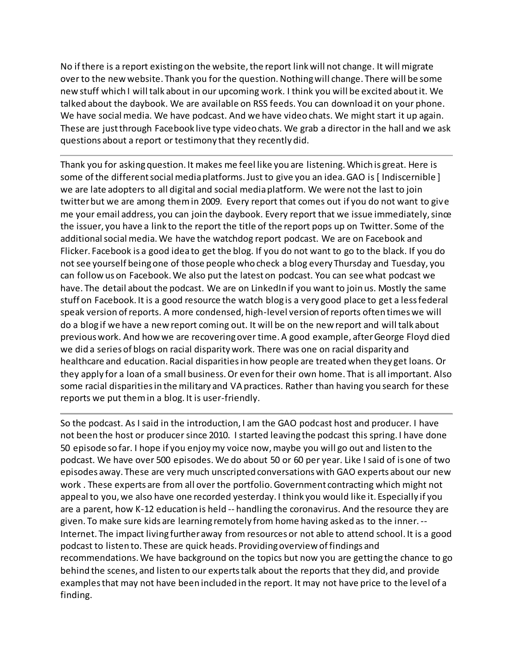No if there is a report existing on the website, the report link will not change. It will migrate over to the new website. Thank you for the question. Nothing will change. There will be some new stuff which I will talk about in our upcoming work. I think you will be excited about it. We talked about the daybook. We are available on RSS feeds. You can download it on your phone. We have social media. We have podcast. And we have video chats. We might start it up again. These are just through Facebook live type video chats. We grab a director in the hall and we ask questions about a report or testimony that they recently did.

Thank you for asking question. It makes me feel like you are listening. Which is great. Here is some of the different social media platforms. Just to give you an idea. GAO is [Indiscernible] we are late adopters to all digital and social media platform. We were not the last to join twitter but we are among them in 2009. Every report that comes out if you do not want to give me your email address, you can join the daybook. Every report that we issue immediately, since the issuer, you have a link to the report the title of the report pops up on Twitter. Some of the additional social media. We have the watchdog report podcast. We are on Facebook and Flicker. Facebook is a good idea to get the blog. If you do not want to go to the black. If you do not see yourself being one of those people who check a blog every Thursday and Tuesday, you can follow us on Facebook. We also put the latest on podcast. You can see what podcast we have. The detail about the podcast. We are on LinkedIn if you want to join us. Mostly the same stuff on Facebook. It is a good resource the watch blog is a very good place to get a less federal speak version of reports. A more condensed, high-level version of reports often times we will do a blog if we have a new report coming out. It will be on the new report and will talk about previous work. And how we are recovering over time. A good example, after George Floyd died we did a series of blogs on racial disparity work. There was one on racial disparity and healthcare and education. Racial disparities in how people are treated when they get loans. Or they apply for a loan of a small business. Or even for their own home. That is all important. Also some racial disparities in the military and VA practices. Rather than having you search for these reports we put them in a blog. It is user-friendly.

So the podcast. As I said in the introduction, I am the GAO podcast host and producer. I have not been the host or producer since 2010. I started leaving the podcast this spring. I have done 50 episode so far. I hope if you enjoy my voice now, maybe you will go out and listen to the podcast. We have over 500 episodes. We do about 50 or 60 per year. Like I said of is one of two episodes away. These are very much unscripted conversations with GAO experts about our new work . These experts are from all over the portfolio. Government contracting which might not appeal to you, we also have one recorded yesterday. I think you would like it. Especially if you are a parent, how K-12 education is held -- handling the coronavirus. And the resource they are given. To make sure kids are learning remotely from home having asked as to the inner. -- Internet. The impact living further away from resources or not able to attend school. It is a good podcast to listen to. These are quick heads. Providing overview of findings and recommendations. We have background on the topics but now you are getting the chance to go behind the scenes, and listen to our experts talk about the reports that they did, and provide examples that may not have been included in the report. It may not have price to the level of a finding.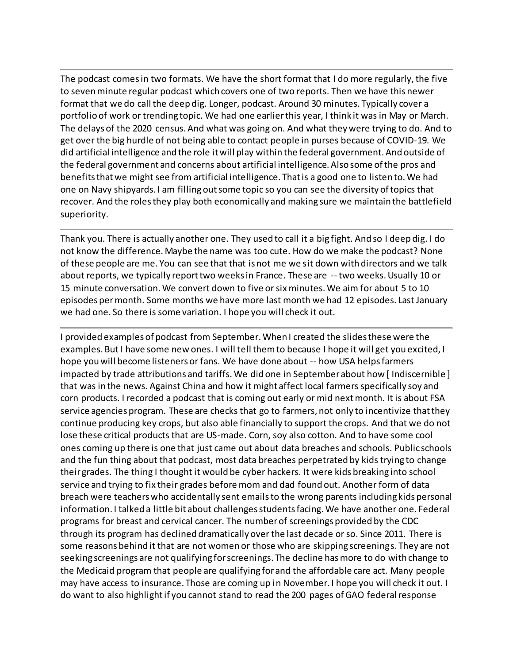The podcast comes in two formats. We have the short format that I do more regularly, the five to seven minute regular podcast which covers one of two reports. Then we have this newer format that we do call the deep dig. Longer, podcast. Around 30 minutes. Typically cover a portfolio of work or trending topic. We had one earlier this year, I think it was in May or March. The delays of the 2020 census. And what was going on. And what they were trying to do. And to get over the big hurdle of not being able to contact people in purses because of COVID-19. We did artificial intelligence and the role it will play within the federal government. And outside of the federal government and concerns about artificial intelligence. Also some of the pros and benefits that we might see from artificial intelligence. That is a good one to listen to. We had one on Navy shipyards. I am filling out some topic so you can see the diversity of topics that recover. And the roles they play both economically and making sure we maintain the battlefield superiority.

Thank you. There is actually another one. They used to call it a big fight. And so I deep dig. I do not know the difference. Maybe the name was too cute. How do we make the podcast? None of these people are me. You can see that that is not me we sit down with directors and we talk about reports, we typically report two weeks in France. These are --two weeks. Usually 10 or 15 minute conversation. We convert down to five or six minutes. We aim for about 5 to 10 episodes per month. Some months we have more last month we had 12 episodes. Last January we had one. So there is some variation. I hope you will check it out.

I provided examples of podcast from September. When I created the slides these were the examples. But I have some new ones. I will tell them to because I hope it will get you excited, I hope you will become listeners or fans. We have done about -- how USA helps farmers impacted by trade attributions and tariffs. We did one in September about how [ Indiscernible ] that was in the news. Against China and how it might affect local farmers specifically soy and corn products. I recorded a podcast that is coming out early or mid next month. It is about FSA service agencies program. These are checks that go to farmers, not only to incentivize that they continue producing key crops, but also able financially to support the crops. And that we do not lose these critical products that are US-made. Corn, soy also cotton. And to have some cool ones coming up there is one that just came out about data breaches and schools. Public schools and the fun thing about that podcast, most data breaches perpetrated by kids trying to change their grades. The thing I thought it would be cyber hackers. It were kids breaking into school service and trying to fix their grades before mom and dad found out. Another form of data breach were teachers who accidentally sent emails to the wrong parents including kids personal information. I talked a little bit about challenges students facing. We have another one. Federal programs for breast and cervical cancer. The number of screenings provided by the CDC through its program has declined dramatically over the last decade or so. Since 2011. There is some reasons behind it that are not women or those who are skipping screenings. They are not seeking screenings are not qualifying for screenings. The decline has more to do with change to the Medicaid program that people are qualifying for and the affordable care act. Many people may have access to insurance. Those are coming up in November. I hope you will check it out. I do want to also highlight if you cannot stand to read the 200 pages of GAO federal response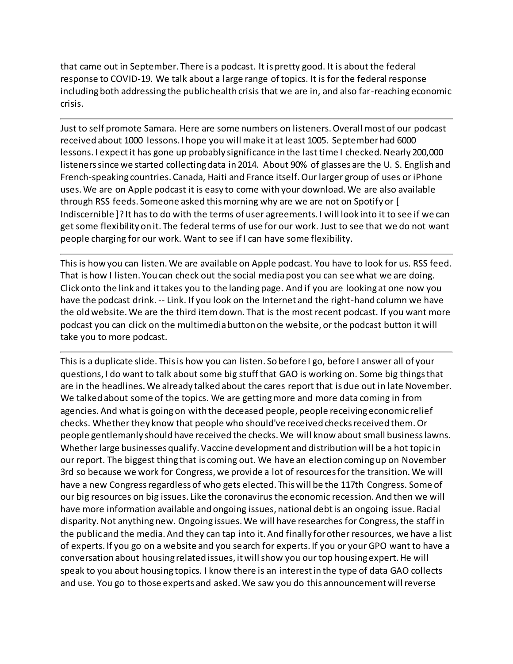that came out in September. There is a podcast. It is pretty good. It is about the federal response to COVID-19. We talk about a large range of topics. It is for the federal response including both addressing the public health crisis that we are in, and also far-reaching economic crisis.

Just to self promote Samara. Here are some numbers on listeners. Overall most of our podcast received about 1000 lessons. I hope you will make it at least 1005. September had 6000 lessons. I expect it has gone up probably significance in the last time I checked. Nearly 200,000 listeners since we started collecting data in 2014. About 90% of glasses are the U. S. English and French-speaking countries. Canada, Haiti and France itself. Our larger group of uses or iPhone uses. We are on Apple podcast it is easy to come with your download. We are also available through RSS feeds. Someone asked this morning why are we are not on Spotify or [ Indiscernible ]? It has to do with the terms of user agreements. I will look into it to see if we can get some flexibility on it. The federal terms of use for our work. Just to see that we do not want people charging for our work. Want to see if I can have some flexibility.

This is how you can listen. We are available on Apple podcast. You have to look for us. RSS feed. That is how I listen. You can check out the social media post you can see what we are doing. Click onto the link and it takes you to the landing page. And if you are looking at one now you have the podcast drink. -- Link. If you look on the Internet and the right-hand column we have the old website. We are the third item down. That is the most recent podcast. If you want more podcast you can click on the multimedia button on the website, or the podcast button it will take you to more podcast.

This is a duplicate slide. This is how you can listen. So before I go, before I answer all of your questions, I do want to talk about some big stuff that GAO is working on. Some big things that are in the headlines. We already talked about the cares report that is due out in late November. We talked about some of the topics. We are getting more and more data coming in from agencies. And what is going on with the deceased people, people receiving economic relief checks. Whether they know that people who should've received checks received them. Or people gentlemanly should have received the checks. We will know about small business lawns. Whether large businesses qualify. Vaccine development and distribution will be a hot topic in our report. The biggest thing that is coming out. We have an election coming up on November 3rd so because we work for Congress, we provide a lot of resources for the transition. We will have a new Congress regardless of who gets elected. This will be the 117th Congress. Some of our big resources on big issues. Like the coronavirus the economic recession. And then we will have more information available and ongoing issues, national debt is an ongoing issue. Racial disparity. Not anything new. Ongoing issues. We will have researches for Congress, the staff in the public and the media. And they can tap into it. And finally for other resources, we have a list of experts. If you go on a website and you search for experts. If you or your GPO want to have a conversation about housing related issues, it will show you our top housing expert. He will speak to you about housing topics. I know there is an interest in the type of data GAO collects and use. You go to those experts and asked. We saw you do this announcement will reverse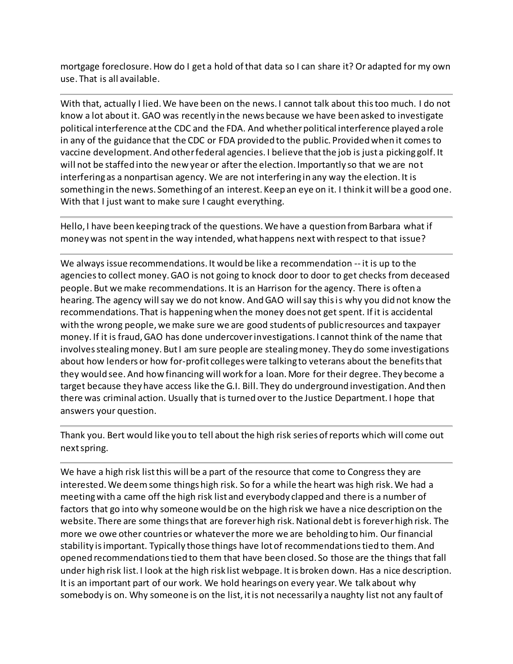mortgage foreclosure. How do I get a hold of that data so I can share it? Or adapted for my own use. That is all available.

With that, actually I lied. We have been on the news. I cannot talk about this too much. I do not know a lot about it. GAO was recently in the news because we have been asked to investigate political interference at the CDC and the FDA. And whether political interference played a role in any of the guidance that the CDC or FDA provided to the public. Provided when it comes to vaccine development. And other federal agencies. I believe that the job is just a picking golf. It will not be staffed into the new year or after the election. Importantly so that we are not interfering as a nonpartisan agency. We are not interfering in any way the election. It is something in the news. Something of an interest. Keep an eye on it. I think it will be a good one. With that I just want to make sure I caught everything.

Hello, I have been keeping track of the questions. We have a question from Barbara what if money was not spent in the way intended, what happens next with respect to that issue?

We always issue recommendations. It would be like a recommendation -- it is up to the agencies to collect money. GAO is not going to knock door to door to get checks from deceased people. But we make recommendations. It is an Harrison for the agency. There is often a hearing. The agency will say we do not know. And GAO will say this is why you did not know the recommendations. That is happening when the money does not get spent. If it is accidental with the wrong people, we make sure we are good students of public resources and taxpayer money. If it is fraud, GAO has done undercover investigations. I cannot think of the name that involves stealing money. But I am sure people are stealing money. They do some investigations about how lenders or how for-profit colleges were talking to veterans about the benefits that they would see. And how financing will work for a loan. More for their degree. They become a target because they have access like the G.I. Bill. They do underground investigation. And then there was criminal action. Usually that is turned over to the Justice Department. I hope that answers your question.

Thank you. Bert would like you to tell about the high risk series of reports which will come out next spring.

We have a high risk list this will be a part of the resource that come to Congress they are interested. We deem some things high risk. So for a while the heart was high risk. We had a meeting with a came off the high risk list and everybody clapped and there is a number of factors that go into why someone would be on the high risk we have a nice description on the website. There are some things that are forever high risk. National debt is forever high risk. The more we owe other countries or whatever the more we are beholding to him. Our financial stability is important. Typically those things have lot of recommendations tied to them. And opened recommendations tied to them that have been closed. So those are the things that fall under high risk list. I look at the high risk list webpage. It is broken down. Has a nice description. It is an important part of our work. We hold hearings on every year. We talk about why somebody is on. Why someone is on the list, it is not necessarily a naughty list not any fault of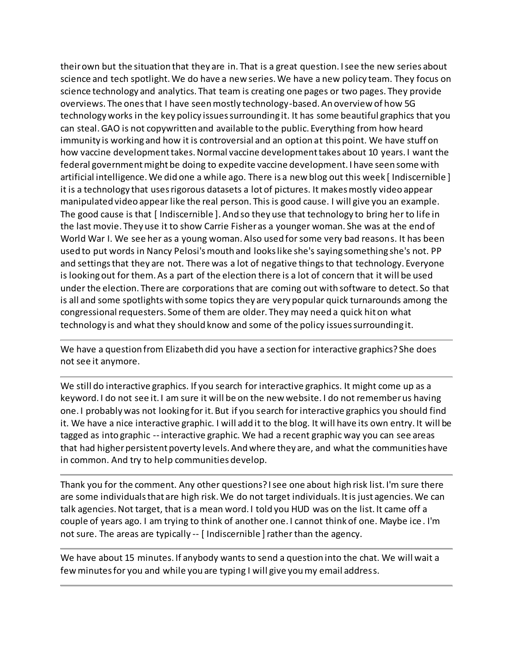their own but the situation that they are in. That is a great question. I see the new series about science and tech spotlight. We do have a new series. We have a new policy team. They focus on science technology and analytics. That team is creating one pages or two pages. They provide overviews. The ones that I have seen mostly technology-based. An overview of how 5G technology works in the key policy issues surrounding it. It has some beautiful graphics that you can steal. GAO is not copywritten and available to the public. Everything from how heard immunity is working and how it is controversial and an option at this point. We have stuff on how vaccine development takes. Normal vaccine development takes about 10 years. I want the federal government might be doing to expedite vaccine development. I have seen some with artificial intelligence. We did one a while ago. There is a new blog out this week [ Indiscernible ] it is a technology that uses rigorous datasets a lot of pictures. It makes mostly video appear manipulated video appear like the real person. This is good cause. I will give you an example. The good cause is that [ Indiscernible ]. And so they use that technology to bring her to life in the last movie. They use it to show Carrie Fisher as a younger woman. She was at the end of World War I. We see her as a young woman. Also used for some very bad reasons. It has been used to put words in Nancy Pelosi's mouth and looks like she's saying something she's not. PP and settings that they are not. There was a lot of negative things to that technology. Everyone is looking out for them. As a part of the election there is a lot of concern that it will be used under the election. There are corporations that are coming out with software to detect. So that is all and some spotlights with some topics they are very popular quick turnarounds among the congressional requesters. Some of them are older. They may need a quick hit on what technology is and what they should know and some of the policy issues surrounding it.

We have a question from Elizabeth did you have a section for interactive graphics? She does not see it anymore.

We still do interactive graphics. If you search for interactive graphics. It might come up as a keyword. I do not see it. I am sure it will be on the new website. I do not remember us having one. I probably was not looking for it. But if you search for interactive graphics you should find it. We have a nice interactive graphic. I will add it to the blog. It will have its own entry. It will be tagged as into graphic -- interactive graphic. We had a recent graphic way you can see areas that had higher persistent poverty levels. And where they are, and what the communities have in common. And try to help communities develop.

Thank you for the comment. Any other questions? I see one about high risk list. I'm sure there are some individuals that are high risk. We do not target individuals. It is just agencies. We can talk agencies. Not target, that is a mean word. I told you HUD was on the list. It came off a couple of years ago. I am trying to think of another one. I cannot think of one. Maybe ice. I'm not sure. The areas are typically -- [ Indiscernible ] rather than the agency.

We have about 15 minutes. If anybody wants to send a question into the chat. We will wait a few minutes for you and while you are typing I will give you my email address.